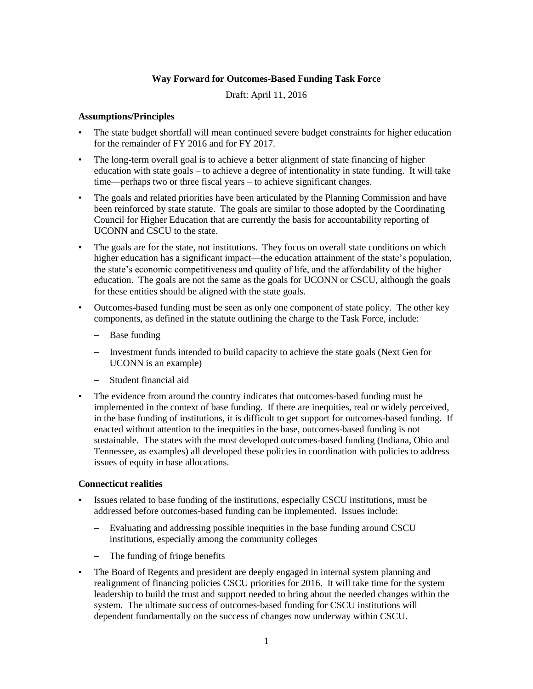# **Way Forward for Outcomes-Based Funding Task Force**

Draft: April 11, 2016

#### **Assumptions/Principles**

- The state budget shortfall will mean continued severe budget constraints for higher education for the remainder of FY 2016 and for FY 2017.
- The long-term overall goal is to achieve a better alignment of state financing of higher education with state goals – to achieve a degree of intentionality in state funding. It will take time—perhaps two or three fiscal years – to achieve significant changes.
- The goals and related priorities have been articulated by the Planning Commission and have been reinforced by state statute. The goals are similar to those adopted by the Coordinating Council for Higher Education that are currently the basis for accountability reporting of UCONN and CSCU to the state.
- The goals are for the state, not institutions. They focus on overall state conditions on which higher education has a significant impact—the education attainment of the state's population, the state's economic competitiveness and quality of life, and the affordability of the higher education. The goals are not the same as the goals for UCONN or CSCU, although the goals for these entities should be aligned with the state goals.
- Outcomes-based funding must be seen as only one component of state policy. The other key components, as defined in the statute outlining the charge to the Task Force, include:
	- Base funding
	- Investment funds intended to build capacity to achieve the state goals (Next Gen for UCONN is an example)
	- Student financial aid
- The evidence from around the country indicates that outcomes-based funding must be implemented in the context of base funding. If there are inequities, real or widely perceived, in the base funding of institutions, it is difficult to get support for outcomes-based funding. If enacted without attention to the inequities in the base, outcomes-based funding is not sustainable. The states with the most developed outcomes-based funding (Indiana, Ohio and Tennessee, as examples) all developed these policies in coordination with policies to address issues of equity in base allocations.

#### **Connecticut realities**

- Issues related to base funding of the institutions, especially CSCU institutions, must be addressed before outcomes-based funding can be implemented. Issues include:
	- Evaluating and addressing possible inequities in the base funding around CSCU institutions, especially among the community colleges
	- The funding of fringe benefits
- The Board of Regents and president are deeply engaged in internal system planning and realignment of financing policies CSCU priorities for 2016. It will take time for the system leadership to build the trust and support needed to bring about the needed changes within the system. The ultimate success of outcomes-based funding for CSCU institutions will dependent fundamentally on the success of changes now underway within CSCU.